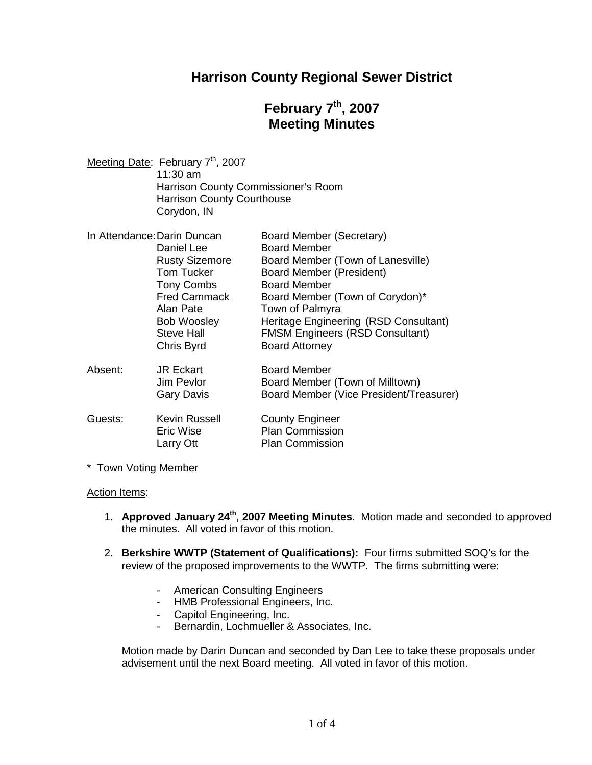# **Harrison County Regional Sewer District**

# **February 7th , 2007 Meeting Minutes**

| Meeting Date: February 7 <sup>th</sup> , 2007 |
|-----------------------------------------------|
| $11:30$ am                                    |
| Harrison County Commissioner's Room           |
| <b>Harrison County Courthouse</b>             |
| Corydon, IN                                   |
|                                               |

| In Attendance: Darin Duncan |                       | Board Member (Secretary)                |
|-----------------------------|-----------------------|-----------------------------------------|
|                             | Daniel Lee            | <b>Board Member</b>                     |
|                             | <b>Rusty Sizemore</b> | Board Member (Town of Lanesville)       |
|                             | <b>Tom Tucker</b>     | <b>Board Member (President)</b>         |
|                             | <b>Tony Combs</b>     | <b>Board Member</b>                     |
|                             | <b>Fred Cammack</b>   | Board Member (Town of Corydon)*         |
|                             | Alan Pate             | Town of Palmyra                         |
|                             | <b>Bob Woosley</b>    | Heritage Engineering (RSD Consultant)   |
|                             | <b>Steve Hall</b>     | <b>FMSM Engineers (RSD Consultant)</b>  |
|                             | Chris Byrd            | <b>Board Attorney</b>                   |
| Absent:                     | <b>JR Eckart</b>      | <b>Board Member</b>                     |
|                             | Jim Pevlor            | Board Member (Town of Milltown)         |
|                             | <b>Gary Davis</b>     | Board Member (Vice President/Treasurer) |
| Guests:                     | Kevin Russell         | <b>County Engineer</b>                  |
|                             | Eric Wise             | <b>Plan Commission</b>                  |
|                             | Larry Ott             | <b>Plan Commission</b>                  |
|                             |                       |                                         |

\* Town Voting Member

#### Action Items:

- 1. **Approved January 24th, 2007 Meeting Minutes**. Motion made and seconded to approved the minutes. All voted in favor of this motion.
- 2. **Berkshire WWTP (Statement of Qualifications):** Four firms submitted SOQ's for the review of the proposed improvements to the WWTP. The firms submitting were:
	- American Consulting Engineers
	- HMB Professional Engineers, Inc.
	- Capitol Engineering, Inc.
	- Bernardin, Lochmueller & Associates, Inc.

Motion made by Darin Duncan and seconded by Dan Lee to take these proposals under advisement until the next Board meeting. All voted in favor of this motion.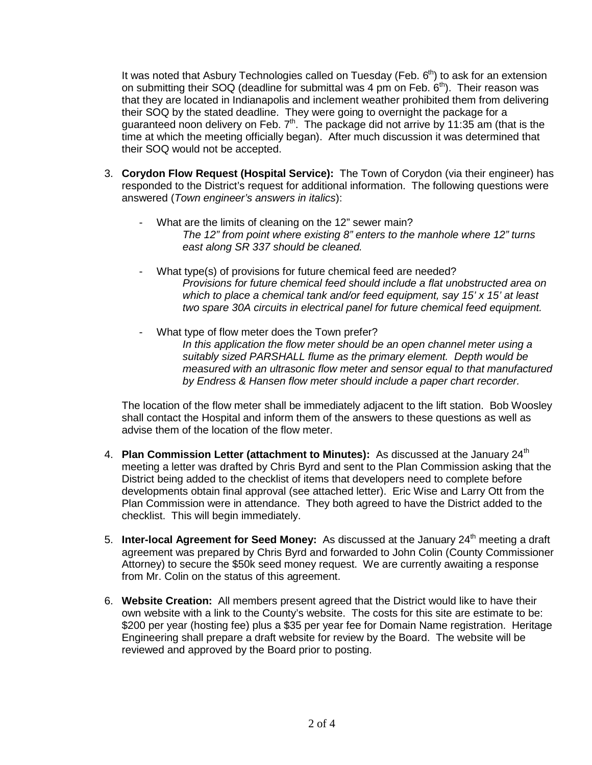It was noted that Asbury Technologies called on Tuesday (Feb.  $6<sup>th</sup>$ ) to ask for an extension on submitting their SOQ (deadline for submittal was 4 pm on Feb.  $6<sup>th</sup>$ ). Their reason was that they are located in Indianapolis and inclement weather prohibited them from delivering their SOQ by the stated deadline. They were going to overnight the package for a guaranteed noon delivery on Feb.  $7<sup>th</sup>$ . The package did not arrive by 11:35 am (that is the time at which the meeting officially began). After much discussion it was determined that their SOQ would not be accepted.

- 3. **Corydon Flow Request (Hospital Service):** The Town of Corydon (via their engineer) has responded to the District's request for additional information. The following questions were answered (*Town engineer's answers in italics*):
	- What are the limits of cleaning on the 12" sewer main? *The 12" from point where existing 8" enters to the manhole where 12" turns east along SR 337 should be cleaned.*
	- What type(s) of provisions for future chemical feed are needed? *Provisions for future chemical feed should include a flat unobstructed area on which to place a chemical tank and/or feed equipment, say 15' x 15' at least two spare 30A circuits in electrical panel for future chemical feed equipment.*
	- What type of flow meter does the Town prefer? In this application the flow meter should be an open channel meter using a *suitably sized PARSHALL flume as the primary element. Depth would be measured with an ultrasonic flow meter and sensor equal to that manufactured by Endress & Hansen flow meter should include a paper chart recorder.*

The location of the flow meter shall be immediately adjacent to the lift station. Bob Woosley shall contact the Hospital and inform them of the answers to these questions as well as advise them of the location of the flow meter.

- 4. **Plan Commission Letter (attachment to Minutes):** As discussed at the January 24<sup>th</sup> meeting a letter was drafted by Chris Byrd and sent to the Plan Commission asking that the District being added to the checklist of items that developers need to complete before developments obtain final approval (see attached letter). Eric Wise and Larry Ott from the Plan Commission were in attendance. They both agreed to have the District added to the checklist. This will begin immediately.
- 5. **Inter-local Agreement for Seed Money:** As discussed at the January 24<sup>th</sup> meeting a draft agreement was prepared by Chris Byrd and forwarded to John Colin (County Commissioner Attorney) to secure the \$50k seed money request. We are currently awaiting a response from Mr. Colin on the status of this agreement.
- 6. **Website Creation:** All members present agreed that the District would like to have their own website with a link to the County's website. The costs for this site are estimate to be: \$200 per year (hosting fee) plus a \$35 per year fee for Domain Name registration. Heritage Engineering shall prepare a draft website for review by the Board. The website will be reviewed and approved by the Board prior to posting.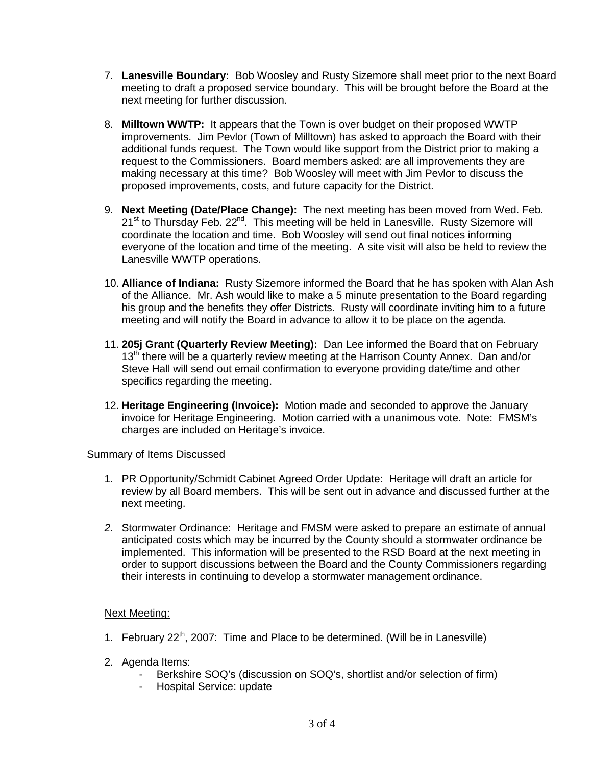- 7. **Lanesville Boundary:** Bob Woosley and Rusty Sizemore shall meet prior to the next Board meeting to draft a proposed service boundary. This will be brought before the Board at the next meeting for further discussion.
- 8. **Milltown WWTP:** It appears that the Town is over budget on their proposed WWTP improvements. Jim Pevlor (Town of Milltown) has asked to approach the Board with their additional funds request. The Town would like support from the District prior to making a request to the Commissioners. Board members asked: are all improvements they are making necessary at this time? Bob Woosley will meet with Jim Pevlor to discuss the proposed improvements, costs, and future capacity for the District.
- 9. **Next Meeting (Date/Place Change):** The next meeting has been moved from Wed. Feb. 21<sup>st</sup> to Thursday Feb. 22<sup>nd</sup>. This meeting will be held in Lanesville. Rusty Sizemore will coordinate the location and time. Bob Woosley will send out final notices informing everyone of the location and time of the meeting. A site visit will also be held to review the Lanesville WWTP operations.
- 10. **Alliance of Indiana:** Rusty Sizemore informed the Board that he has spoken with Alan Ash of the Alliance. Mr. Ash would like to make a 5 minute presentation to the Board regarding his group and the benefits they offer Districts. Rusty will coordinate inviting him to a future meeting and will notify the Board in advance to allow it to be place on the agenda.
- 11. **205j Grant (Quarterly Review Meeting):** Dan Lee informed the Board that on February 13<sup>th</sup> there will be a quarterly review meeting at the Harrison County Annex. Dan and/or Steve Hall will send out email confirmation to everyone providing date/time and other specifics regarding the meeting.
- 12. **Heritage Engineering (Invoice):** Motion made and seconded to approve the January invoice for Heritage Engineering. Motion carried with a unanimous vote. Note: FMSM's charges are included on Heritage's invoice.

#### Summary of Items Discussed

- 1. PR Opportunity/Schmidt Cabinet Agreed Order Update: Heritage will draft an article for review by all Board members. This will be sent out in advance and discussed further at the next meeting.
- *2.* Stormwater Ordinance: Heritage and FMSM were asked to prepare an estimate of annual anticipated costs which may be incurred by the County should a stormwater ordinance be implemented. This information will be presented to the RSD Board at the next meeting in order to support discussions between the Board and the County Commissioners regarding their interests in continuing to develop a stormwater management ordinance.

### Next Meeting:

- 1. February  $22^{th}$ , 2007: Time and Place to be determined. (Will be in Lanesville)
- 2. Agenda Items:
	- Berkshire SOQ's (discussion on SOQ's, shortlist and/or selection of firm)
	- Hospital Service: update